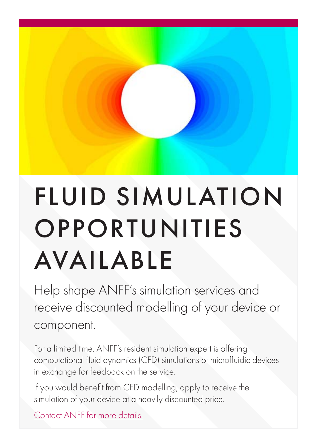## FLUID SIMULATION **OPPORTUNITIES** AVAILABLE

Help shape ANFF's simulation services and receive discounted modelling of your device or component.

For a limited time, ANFF's resident simulation expert is offering computational fluid dynamics (CFD) simulations of microfluidic devices in exchange for feedback on the service.

If you would benefit from CFD modelling, apply to receive the simulation of your device at a heavily discounted price.

[Contact ANFF for more details.](http://www.anff.org.au)